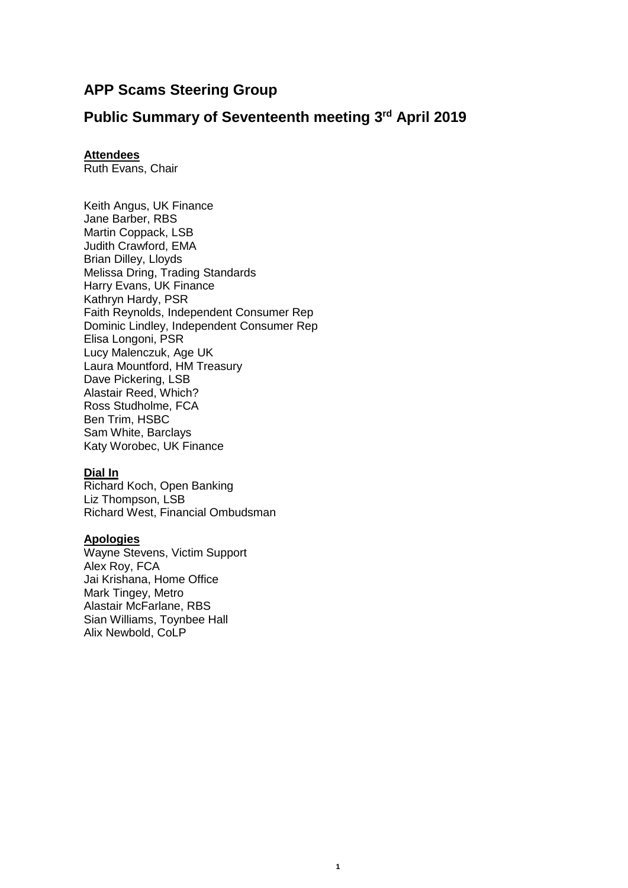# **APP Scams Steering Group**

## **Public Summary of Seventeenth meeting 3 rd April 2019**

## **Attendees**

Ruth Evans, Chair

Keith Angus, UK Finance Jane Barber, RBS Martin Coppack, LSB Judith Crawford, EMA Brian Dilley, Lloyds Melissa Dring, Trading Standards Harry Evans, UK Finance Kathryn Hardy, PSR Faith Reynolds, Independent Consumer Rep Dominic Lindley, Independent Consumer Rep Elisa Longoni, PSR Lucy Malenczuk, Age UK Laura Mountford, HM Treasury Dave Pickering, LSB Alastair Reed, Which? Ross Studholme, FCA Ben Trim, HSBC Sam White, Barclays Katy Worobec, UK Finance

#### **Dial In**

Richard Koch, Open Banking Liz Thompson, LSB Richard West, Financial Ombudsman

#### **Apologies**

Wayne Stevens, Victim Support Alex Roy, FCA Jai Krishana, Home Office Mark Tingey, Metro Alastair McFarlane, RBS Sian Williams, Toynbee Hall Alix Newbold, CoLP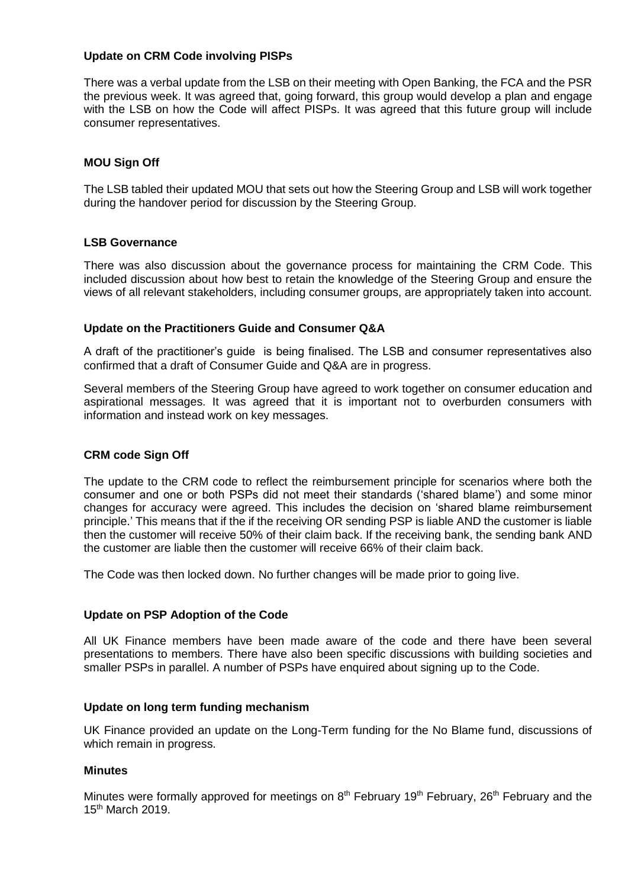### **Update on CRM Code involving PISPs**

There was a verbal update from the LSB on their meeting with Open Banking, the FCA and the PSR the previous week. It was agreed that, going forward, this group would develop a plan and engage with the LSB on how the Code will affect PISPs. It was agreed that this future group will include consumer representatives.

## **MOU Sign Off**

The LSB tabled their updated MOU that sets out how the Steering Group and LSB will work together during the handover period for discussion by the Steering Group.

## **LSB Governance**

There was also discussion about the governance process for maintaining the CRM Code. This included discussion about how best to retain the knowledge of the Steering Group and ensure the views of all relevant stakeholders, including consumer groups, are appropriately taken into account.

#### **Update on the Practitioners Guide and Consumer Q&A**

A draft of the practitioner's guide is being finalised. The LSB and consumer representatives also confirmed that a draft of Consumer Guide and Q&A are in progress.

Several members of the Steering Group have agreed to work together on consumer education and aspirational messages. It was agreed that it is important not to overburden consumers with information and instead work on key messages.

## **CRM code Sign Off**

The update to the CRM code to reflect the reimbursement principle for scenarios where both the consumer and one or both PSPs did not meet their standards ('shared blame') and some minor changes for accuracy were agreed. This includes the decision on 'shared blame reimbursement principle.' This means that if the if the receiving OR sending PSP is liable AND the customer is liable then the customer will receive 50% of their claim back. If the receiving bank, the sending bank AND the customer are liable then the customer will receive 66% of their claim back.

The Code was then locked down. No further changes will be made prior to going live.

#### **Update on PSP Adoption of the Code**

All UK Finance members have been made aware of the code and there have been several presentations to members. There have also been specific discussions with building societies and smaller PSPs in parallel. A number of PSPs have enquired about signing up to the Code.

#### **Update on long term funding mechanism**

UK Finance provided an update on the Long-Term funding for the No Blame fund, discussions of which remain in progress.

#### **Minutes**

Minutes were formally approved for meetings on  $8<sup>th</sup>$  February 19<sup>th</sup> February, 26<sup>th</sup> February and the 15th March 2019.